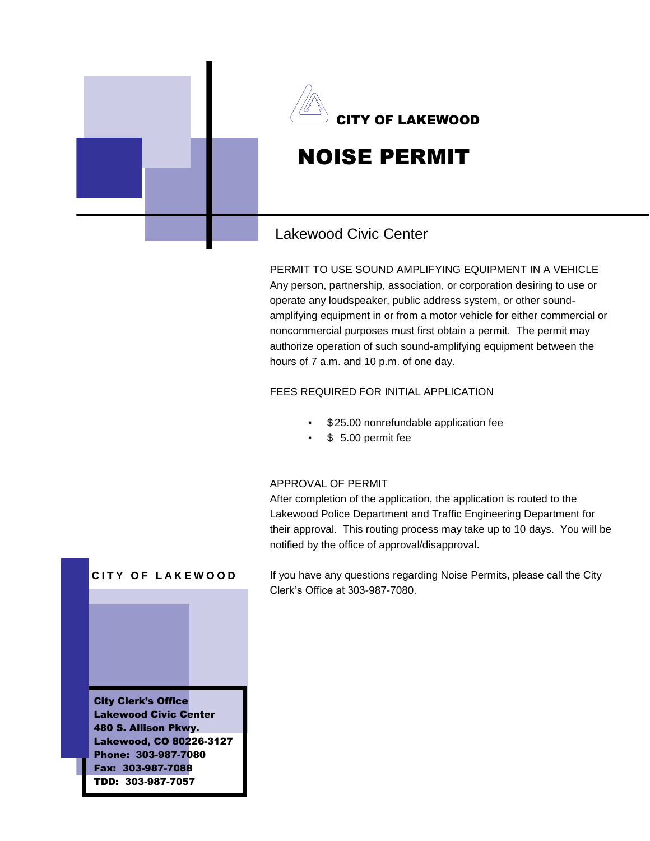

PERMIT TO USE SOUND AMPLIFYING EQUIPMENT IN A VEHICLE Any person, partnership, association, or corporation desiring to use or operate any loudspeaker, public address system, or other soundamplifying equipment in or from a motor vehicle for either commercial or noncommercial purposes must first obtain a permit. The permit may authorize operation of such sound-amplifying equipment between the hours of 7 a.m. and 10 p.m. of one day.

# FEES REQUIRED FOR INITIAL APPLICATION

- \$ 25.00 nonrefundable application fee
- \$ 5.00 permit fee

#### APPROVAL OF PERMIT

After completion of the application, the application is routed to the Lakewood Police Department and Traffic Engineering Department for their approval. This routing process may take up to 10 days. You will be notified by the office of approval/disapproval.



If you have any questions regarding Noise Permits, please call the City Clerk's Office at 303-987-7080.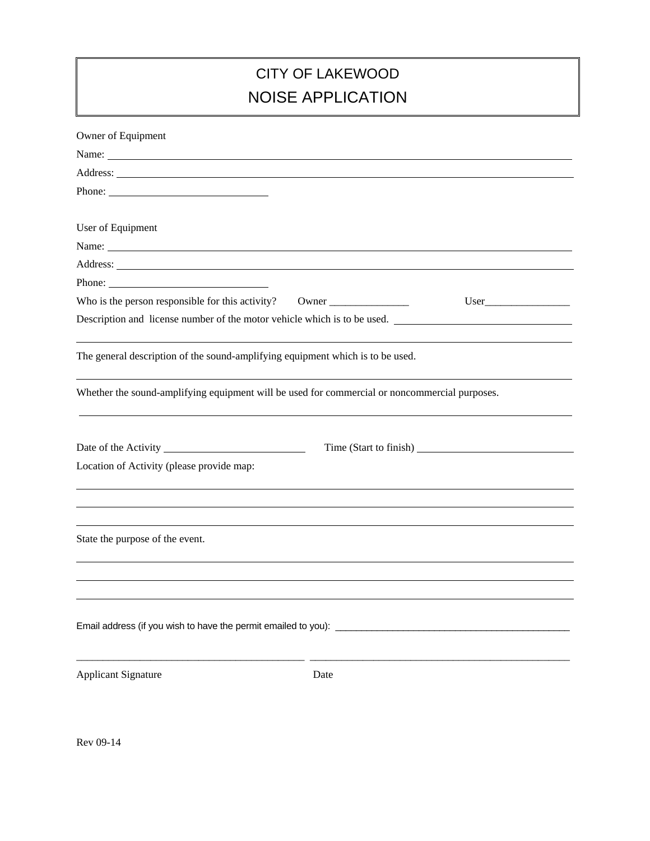# CITY OF LAKEWOOD NOISE APPLICATION

| Owner of Equipment                                                                                                                                                                                                                  |      |      |
|-------------------------------------------------------------------------------------------------------------------------------------------------------------------------------------------------------------------------------------|------|------|
|                                                                                                                                                                                                                                     |      |      |
| Address: <u>Address:</u> Address: Address: Address: Address: Address: Address: Address: Address: Address: Address: Address: Address: Address: Address: Address: Address: Address: Address: Address: Address: Address: Address: Addr |      |      |
|                                                                                                                                                                                                                                     |      |      |
|                                                                                                                                                                                                                                     |      |      |
| User of Equipment                                                                                                                                                                                                                   |      |      |
|                                                                                                                                                                                                                                     |      |      |
|                                                                                                                                                                                                                                     |      |      |
|                                                                                                                                                                                                                                     |      |      |
| Who is the person responsible for this activity? Owner __________________________                                                                                                                                                   |      | User |
| Description and license number of the motor vehicle which is to be used.                                                                                                                                                            |      |      |
|                                                                                                                                                                                                                                     |      |      |
| The general description of the sound-amplifying equipment which is to be used.                                                                                                                                                      |      |      |
|                                                                                                                                                                                                                                     |      |      |
| Whether the sound-amplifying equipment will be used for commercial or noncommercial purposes.                                                                                                                                       |      |      |
|                                                                                                                                                                                                                                     |      |      |
|                                                                                                                                                                                                                                     |      |      |
|                                                                                                                                                                                                                                     |      |      |
| Location of Activity (please provide map:                                                                                                                                                                                           |      |      |
|                                                                                                                                                                                                                                     |      |      |
|                                                                                                                                                                                                                                     |      |      |
|                                                                                                                                                                                                                                     |      |      |
| State the purpose of the event.                                                                                                                                                                                                     |      |      |
|                                                                                                                                                                                                                                     |      |      |
|                                                                                                                                                                                                                                     |      |      |
|                                                                                                                                                                                                                                     |      |      |
|                                                                                                                                                                                                                                     |      |      |
|                                                                                                                                                                                                                                     |      |      |
|                                                                                                                                                                                                                                     |      |      |
| <b>Applicant Signature</b>                                                                                                                                                                                                          | Date |      |
|                                                                                                                                                                                                                                     |      |      |

Rev 09-14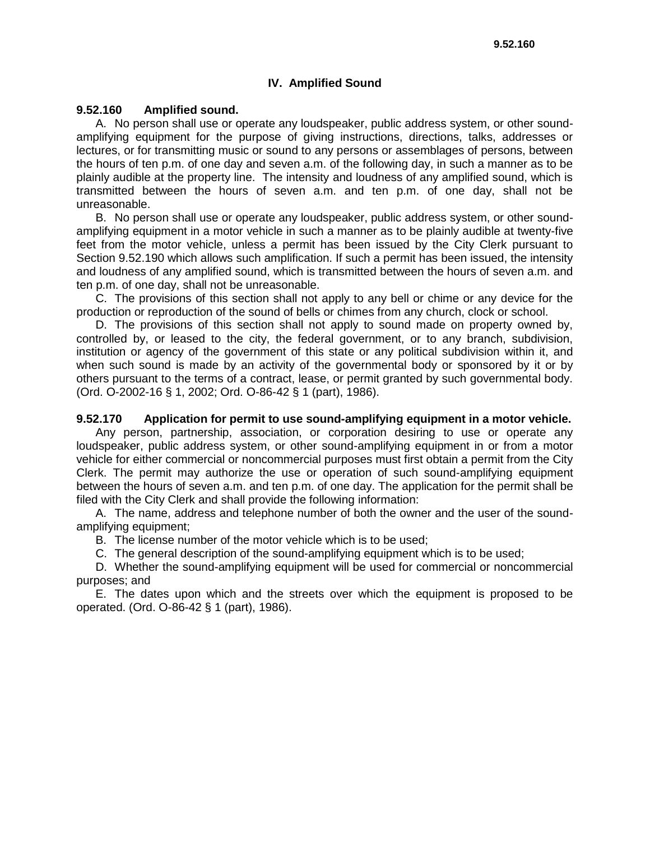# **IV. Amplified Sound**

### **9.52.160 Amplified sound.**

A. No person shall use or operate any loudspeaker, public address system, or other soundamplifying equipment for the purpose of giving instructions, directions, talks, addresses or lectures, or for transmitting music or sound to any persons or assemblages of persons, between the hours of ten p.m. of one day and seven a.m. of the following day, in such a manner as to be plainly audible at the property line. The intensity and loudness of any amplified sound, which is transmitted between the hours of seven a.m. and ten p.m. of one day, shall not be unreasonable.

B. No person shall use or operate any loudspeaker, public address system, or other soundamplifying equipment in a motor vehicle in such a manner as to be plainly audible at twenty-five feet from the motor vehicle, unless a permit has been issued by the City Clerk pursuant to Section 9.52.190 which allows such amplification. If such a permit has been issued, the intensity and loudness of any amplified sound, which is transmitted between the hours of seven a.m. and ten p.m. of one day, shall not be unreasonable.

C. The provisions of this section shall not apply to any bell or chime or any device for the production or reproduction of the sound of bells or chimes from any church, clock or school.

D. The provisions of this section shall not apply to sound made on property owned by, controlled by, or leased to the city, the federal government, or to any branch, subdivision, institution or agency of the government of this state or any political subdivision within it, and when such sound is made by an activity of the governmental body or sponsored by it or by others pursuant to the terms of a contract, lease, or permit granted by such governmental body. (Ord. O-2002-16 § 1, 2002; Ord. O-86-42 § 1 (part), 1986).

# **9.52.170 Application for permit to use sound-amplifying equipment in a motor vehicle.**

Any person, partnership, association, or corporation desiring to use or operate any loudspeaker, public address system, or other sound-amplifying equipment in or from a motor vehicle for either commercial or noncommercial purposes must first obtain a permit from the City Clerk. The permit may authorize the use or operation of such sound-amplifying equipment between the hours of seven a.m. and ten p.m. of one day. The application for the permit shall be filed with the City Clerk and shall provide the following information:

A. The name, address and telephone number of both the owner and the user of the soundamplifying equipment;

B. The license number of the motor vehicle which is to be used;

C. The general description of the sound-amplifying equipment which is to be used;

D. Whether the sound-amplifying equipment will be used for commercial or noncommercial purposes; and

E. The dates upon which and the streets over which the equipment is proposed to be operated. (Ord. O-86-42 § 1 (part), 1986).